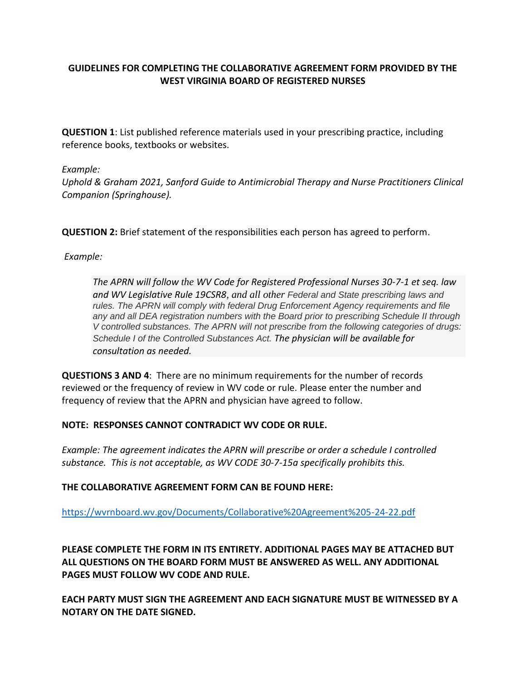# **GUIDELINES FOR COMPLETING THE COLLABORATIVE AGREEMENT FORM PROVIDED BY THE WEST VIRGINIA BOARD OF REGISTERED NURSES**

**QUESTION 1**: List published reference materials used in your prescribing practice, including reference books, textbooks or websites.

### *Example:*

*Uphold & Graham 2021, Sanford Guide to Antimicrobial Therapy and Nurse Practitioners Clinical Companion (Springhouse).* 

**QUESTION 2:** Brief statement of the responsibilities each person has agreed to perform.

*Example:*

*The APRN will follow the WV Code for Registered Professional Nurses 30-7-1 et seq. law and WV Legislative Rule 19CSR8, and all other Federal and State prescribing laws and rules. The APRN will comply with federal Drug Enforcement Agency requirements and file any and all DEA registration numbers with the Board prior to prescribing Schedule II through V controlled substances. The APRN will not prescribe from the following categories of drugs: Schedule I of the Controlled Substances Act. The physician will be available for consultation as needed.*

**QUESTIONS 3 AND 4**: There are no minimum requirements for the number of records reviewed or the frequency of review in WV code or rule. Please enter the number and frequency of review that the APRN and physician have agreed to follow.

## **NOTE: RESPONSES CANNOT CONTRADICT WV CODE OR RULE.**

*Example: The agreement indicates the APRN will prescribe or order a schedule I controlled substance. This is not acceptable, as WV CODE 30-7-15a specifically prohibits this.* 

## **THE COLLABORATIVE AGREEMENT FORM CAN BE FOUND HERE:**

<https://wvrnboard.wv.gov/Documents/Collaborative%20Agreement%205-24-22.pdf>

**PLEASE COMPLETE THE FORM IN ITS ENTIRETY. ADDITIONAL PAGES MAY BE ATTACHED BUT ALL QUESTIONS ON THE BOARD FORM MUST BE ANSWERED AS WELL. ANY ADDITIONAL PAGES MUST FOLLOW WV CODE AND RULE.** 

**EACH PARTY MUST SIGN THE AGREEMENT AND EACH SIGNATURE MUST BE WITNESSED BY A NOTARY ON THE DATE SIGNED.**